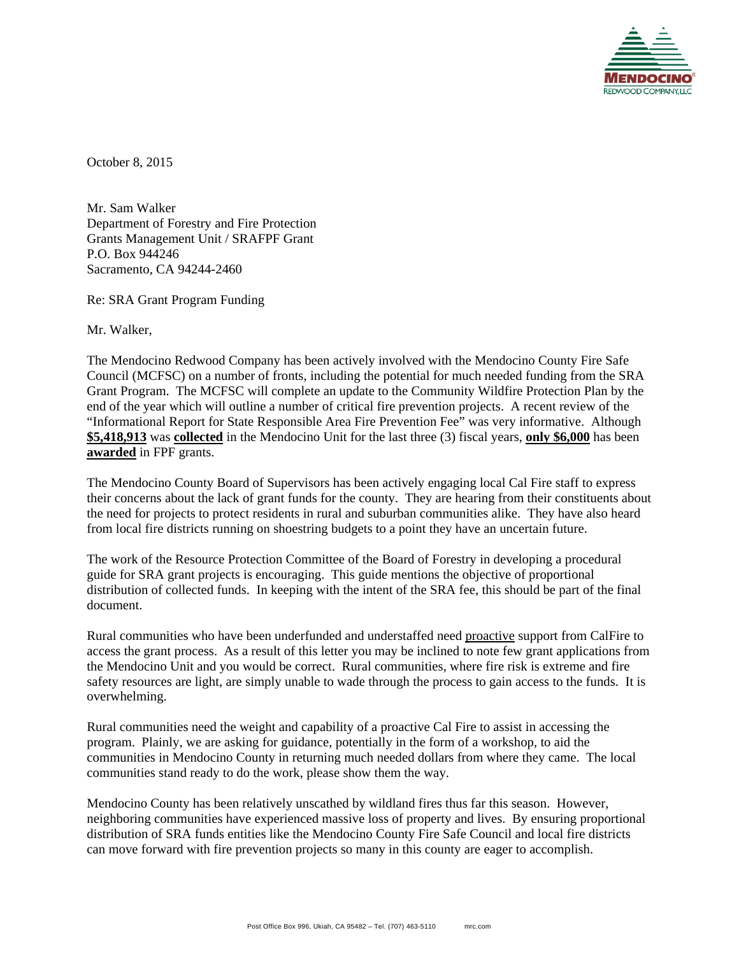

October 8, 2015

Mr. Sam Walker Department of Forestry and Fire Protection Grants Management Unit / SRAFPF Grant P.O. Box 944246 Sacramento, CA 94244-2460

Re: SRA Grant Program Funding

Mr. Walker,

The Mendocino Redwood Company has been actively involved with the Mendocino County Fire Safe Council (MCFSC) on a number of fronts, including the potential for much needed funding from the SRA Grant Program. The MCFSC will complete an update to the Community Wildfire Protection Plan by the end of the year which will outline a number of critical fire prevention projects. A recent review of the "Informational Report for State Responsible Area Fire Prevention Fee" was very informative. Although **\$5,418,913** was **collected** in the Mendocino Unit for the last three (3) fiscal years, **only \$6,000** has been **awarded** in FPF grants.

The Mendocino County Board of Supervisors has been actively engaging local Cal Fire staff to express their concerns about the lack of grant funds for the county. They are hearing from their constituents about the need for projects to protect residents in rural and suburban communities alike. They have also heard from local fire districts running on shoestring budgets to a point they have an uncertain future.

The work of the Resource Protection Committee of the Board of Forestry in developing a procedural guide for SRA grant projects is encouraging. This guide mentions the objective of proportional distribution of collected funds. In keeping with the intent of the SRA fee, this should be part of the final document.

Rural communities who have been underfunded and understaffed need proactive support from CalFire to access the grant process. As a result of this letter you may be inclined to note few grant applications from the Mendocino Unit and you would be correct. Rural communities, where fire risk is extreme and fire safety resources are light, are simply unable to wade through the process to gain access to the funds. It is overwhelming.

Rural communities need the weight and capability of a proactive Cal Fire to assist in accessing the program. Plainly, we are asking for guidance, potentially in the form of a workshop, to aid the communities in Mendocino County in returning much needed dollars from where they came. The local communities stand ready to do the work, please show them the way.

Mendocino County has been relatively unscathed by wildland fires thus far this season. However, neighboring communities have experienced massive loss of property and lives. By ensuring proportional distribution of SRA funds entities like the Mendocino County Fire Safe Council and local fire districts can move forward with fire prevention projects so many in this county are eager to accomplish.